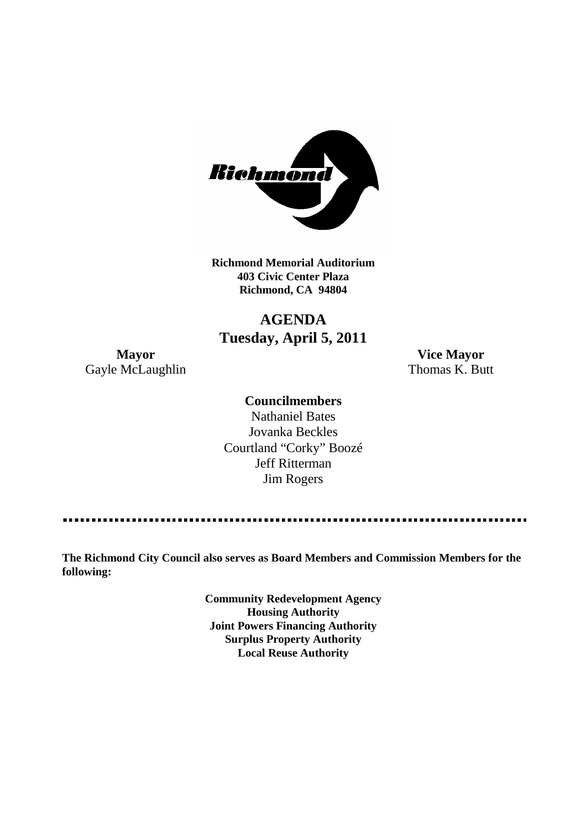

**Richmond Memorial Auditorium 403 Civic Center Plaza Richmond, CA 94804**

### **AGENDA Tuesday, April 5, 2011**

Gayle McLaughlin Thomas K. Butt

**Mayor Vice Mayor**

### **Councilmembers**

Nathaniel Bates Jovanka Beckles Courtland "Corky" Boozé Jeff Ritterman Jim Rogers

**The Richmond City Council also serves as Board Members and Commission Members for the following:**

> **Community Redevelopment Agency Housing Authority Joint Powers Financing Authority Surplus Property Authority Local Reuse Authority**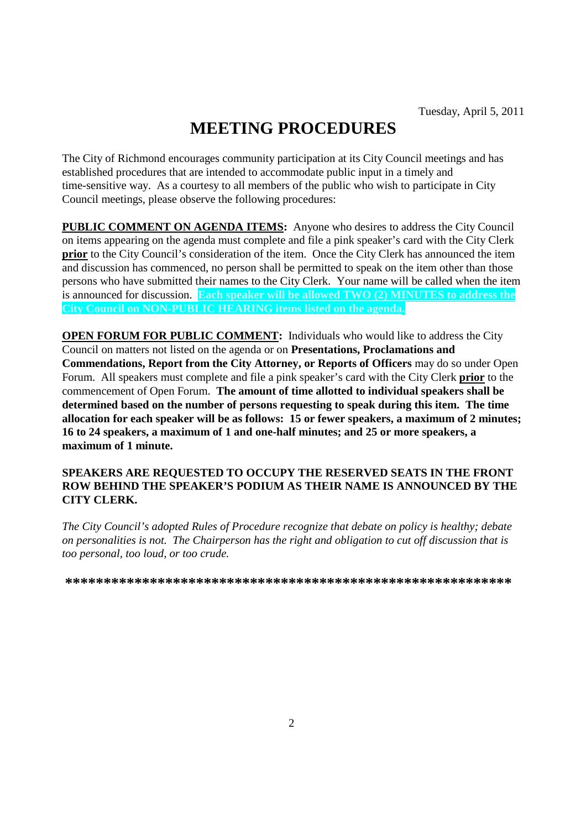# **MEETING PROCEDURES**

The City of Richmond encourages community participation at its City Council meetings and has established procedures that are intended to accommodate public input in a timely and time-sensitive way. As a courtesy to all members of the public who wish to participate in City Council meetings, please observe the following procedures:

**PUBLIC COMMENT ON AGENDA ITEMS:** Anyone who desires to address the City Council on items appearing on the agenda must complete and file a pink speaker's card with the City Clerk **prior** to the City Council's consideration of the item. Once the City Clerk has announced the item and discussion has commenced, no person shall be permitted to speak on the item other than those persons who have submitted their names to the City Clerk. Your name will be called when the item is announced for discussion. **Each speaker will be allowed TWO (2) MINUTES to address the City Council on NON-PUBLIC HEARING items listed on the agenda.**

**OPEN FORUM FOR PUBLIC COMMENT:** Individuals who would like to address the City Council on matters not listed on the agenda or on **Presentations, Proclamations and Commendations, Report from the City Attorney, or Reports of Officers** may do so under Open Forum. All speakers must complete and file a pink speaker's card with the City Clerk **prior** to the commencement of Open Forum. **The amount of time allotted to individual speakers shall be determined based on the number of persons requesting to speak during this item. The time allocation for each speaker will be as follows: 15 or fewer speakers, a maximum of 2 minutes; 16 to 24 speakers, a maximum of 1 and one-half minutes; and 25 or more speakers, a maximum of 1 minute.**

### **SPEAKERS ARE REQUESTED TO OCCUPY THE RESERVED SEATS IN THE FRONT ROW BEHIND THE SPEAKER'S PODIUM AS THEIR NAME IS ANNOUNCED BY THE CITY CLERK.**

*The City Council's adopted Rules of Procedure recognize that debate on policy is healthy; debate on personalities is not. The Chairperson has the right and obligation to cut off discussion that is too personal, too loud, or too crude.*

**\*\*\*\*\*\*\*\*\*\*\*\*\*\*\*\*\*\*\*\*\*\*\*\*\*\*\*\*\*\*\*\*\*\*\*\*\*\*\*\*\*\*\*\*\*\*\*\*\*\*\*\*\*\*\*\*\*\***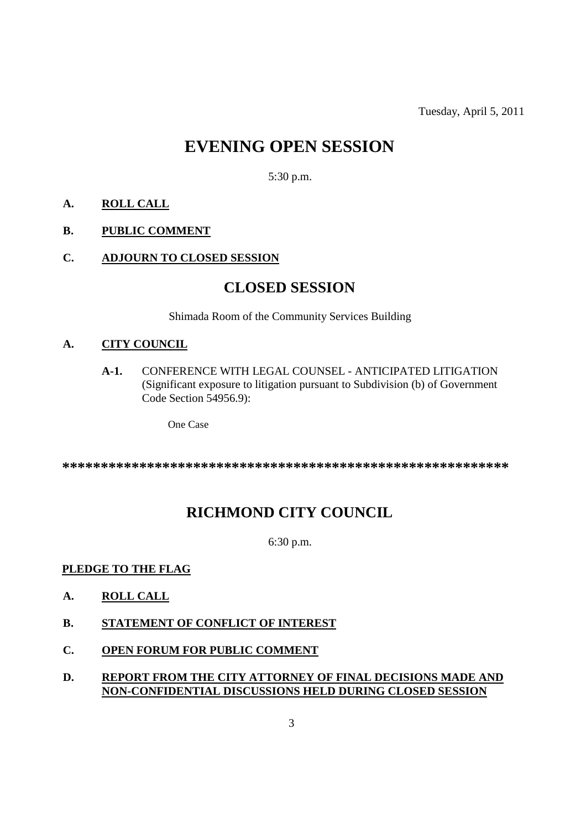Tuesday, April 5, 2011

## **EVENING OPEN SESSION**

5:30 p.m.

- **A. ROLL CALL**
- **B. PUBLIC COMMENT**
- **C. ADJOURN TO CLOSED SESSION**

### **CLOSED SESSION**

Shimada Room of the Community Services Building

#### **A. CITY COUNCIL**

**A-1.** CONFERENCE WITH LEGAL COUNSEL - ANTICIPATED LITIGATION (Significant exposure to litigation pursuant to Subdivision (b) of Government Code Section 54956.9):

One Case

**\*\*\*\*\*\*\*\*\*\*\*\*\*\*\*\*\*\*\*\*\*\*\*\*\*\*\*\*\*\*\*\*\*\*\*\*\*\*\*\*\*\*\*\*\*\*\*\*\*\*\*\*\*\*\*\*\*\***

### **RICHMOND CITY COUNCIL**

6:30 p.m.

### **PLEDGE TO THE FLAG**

- **A. ROLL CALL**
- **B. STATEMENT OF CONFLICT OF INTEREST**
- **C. OPEN FORUM FOR PUBLIC COMMENT**

### **D. REPORT FROM THE CITY ATTORNEY OF FINAL DECISIONS MADE AND NON-CONFIDENTIAL DISCUSSIONS HELD DURING CLOSED SESSION**